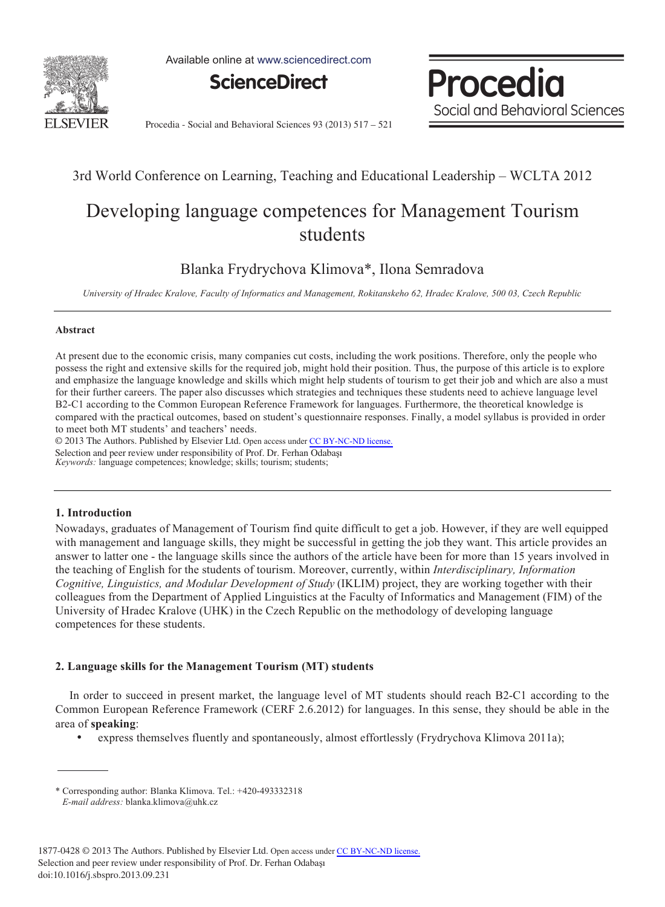

Available online at www.sciencedirect.com



Procedia Social and Behavioral Sciences

Procedia - Social and Behavioral Sciences 93 (2013) 517 – 521

### 3rd World Conference on Learning, Teaching and Educational Leadership – WCLTA 2012

## Developing language competences for Management Tourism students

Blanka Frydrychova Klimova\*, Ilona Semradova

*University of Hradec Kralove, Faculty of Informatics and Management, Rokitanskeho 62, Hradec Kralove, 500 03, Czech Republic* 

#### **Abstract**

At present due to the economic crisis, many companies cut costs, including the work positions. Therefore, only the people who possess the right and extensive skills for the required job, might hold their position. Thus, the purpose of this article is to explore and emphasize the language knowledge and skills which might help students of tourism to get their job and which are also a must for their further careers. The paper also discusses which strategies and techniques these students need to achieve language level B2-C1 according to the Common European Reference Framework for languages. Furthermore, the theoretical knowledge is compared with the practical outcomes, based on student's questionnaire responses. Finally, a model syllabus is provided in order to meet both MT students' and teachers' needs.

Selection and peer review under responsibility of Prof. Dr. Ferhan Odabaşı. Selection and peer review under responsibility of Prof. Dr. Ferhan Odabaşı© 2013 The Authors. Published by Elsevier Ltd. Open access under [CC BY-NC-ND license.](http://creativecommons.org/licenses/by-nc-nd/3.0/)

*Keywords:* language competences; knowledge; skills; tourism; students;

### **1. Introduction**

Nowadays, graduates of Management of Tourism find quite difficult to get a job. However, if they are well equipped with management and language skills, they might be successful in getting the job they want. This article provides an answer to latter one - the language skills since the authors of the article have been for more than 15 years involved in the teaching of English for the students of tourism. Moreover, currently, within *Interdisciplinary, Information Cognitive, Linguistics, and Modular Development of Study* (IKLIM) project, they are working together with their colleagues from the Department of Applied Linguistics at the Faculty of Informatics and Management (FIM) of the University of Hradec Kralove (UHK) in the Czech Republic on the methodology of developing language competences for these students.

### **2. Language skills for the Management Tourism (MT) students**

In order to succeed in present market, the language level of MT students should reach B2-C1 according to the Common European Reference Framework (CERF 2.6.2012) for languages. In this sense, they should be able in the area of **speaking**:

• express themselves fluently and spontaneously, almost effortlessly (Frydrychova Klimova 2011a);

<sup>\*</sup> Corresponding author: Blanka Klimova. Tel.: +420-493332318 *E-mail address:* blanka.klimova@uhk.cz

<sup>1877-0428 © 2013</sup> The Authors. Published by Elsevier Ltd. Open access under [CC BY-NC-ND license.](http://creativecommons.org/licenses/by-nc-nd/3.0/) Selection and peer review under responsibility of Prof. Dr. Ferhan Odabaşı doi: 10.1016/j.sbspro.2013.09.231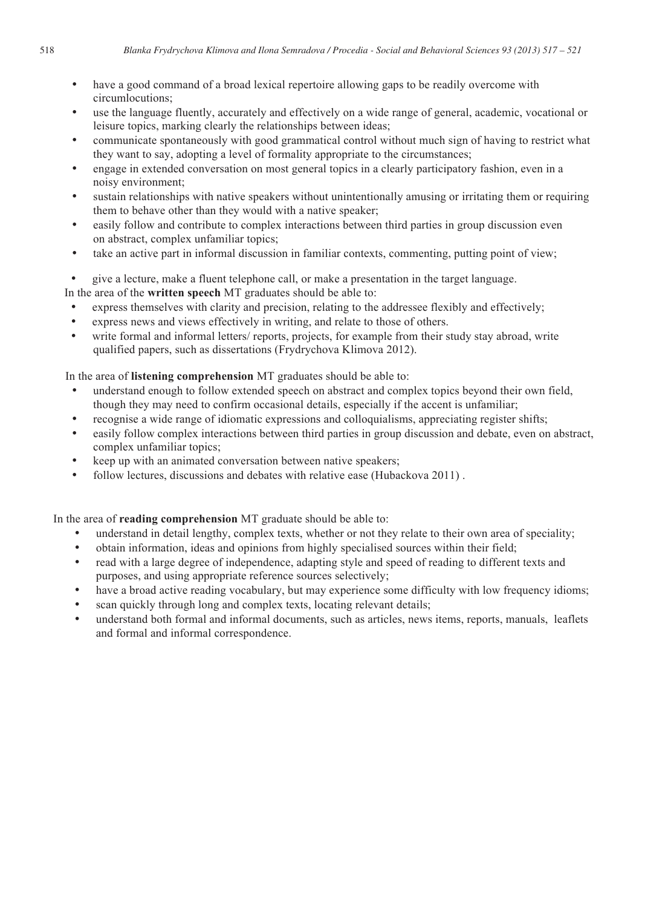- have a good command of a broad lexical repertoire allowing gaps to be readily overcome with circumlocutions;
- use the language fluently, accurately and effectively on a wide range of general, academic, vocational or leisure topics, marking clearly the relationships between ideas;
- communicate spontaneously with good grammatical control without much sign of having to restrict what they want to say, adopting a level of formality appropriate to the circumstances;
- engage in extended conversation on most general topics in a clearly participatory fashion, even in a noisy environment;
- sustain relationships with native speakers without unintentionally amusing or irritating them or requiring them to behave other than they would with a native speaker;
- easily follow and contribute to complex interactions between third parties in group discussion even on abstract, complex unfamiliar topics;
- take an active part in informal discussion in familiar contexts, commenting, putting point of view;
- give a lecture, make a fluent telephone call, or make a presentation in the target language.

In the area of the **written speech** MT graduates should be able to:

- express themselves with clarity and precision, relating to the addressee flexibly and effectively;
- express news and views effectively in writing, and relate to those of others.
- qualified papers, such as dissertations (Frydrychova Klimova 2012). • write formal and informal letters/ reports, projects, for example from their study stay abroad, write

In the area of **listening comprehension** MT graduates should be able to:

- understand enough to follow extended speech on abstract and complex topics beyond their own field, though they may need to confirm occasional details, especially if the accent is unfamiliar;
- recognise a wide range of idiomatic expressions and colloquialisms, appreciating register shifts;
- easily follow complex interactions between third parties in group discussion and debate, even on abstract, complex unfamiliar topics;
- keep up with an animated conversation between native speakers;
- follow lectures, discussions and debates with relative ease (Hubackova 2011) .

In the area of **reading comprehension** MT graduate should be able to:

- understand in detail lengthy, complex texts, whether or not they relate to their own area of speciality;
- obtain information, ideas and opinions from highly specialised sources within their field;
- read with a large degree of independence, adapting style and speed of reading to different texts and purposes, and using appropriate reference sources selectively;
- have a broad active reading vocabulary, but may experience some difficulty with low frequency idioms;
- scan quickly through long and complex texts, locating relevant details;
- understand both formal and informal documents, such as articles, news items, reports, manuals, leaflets and formal and informal correspondence.